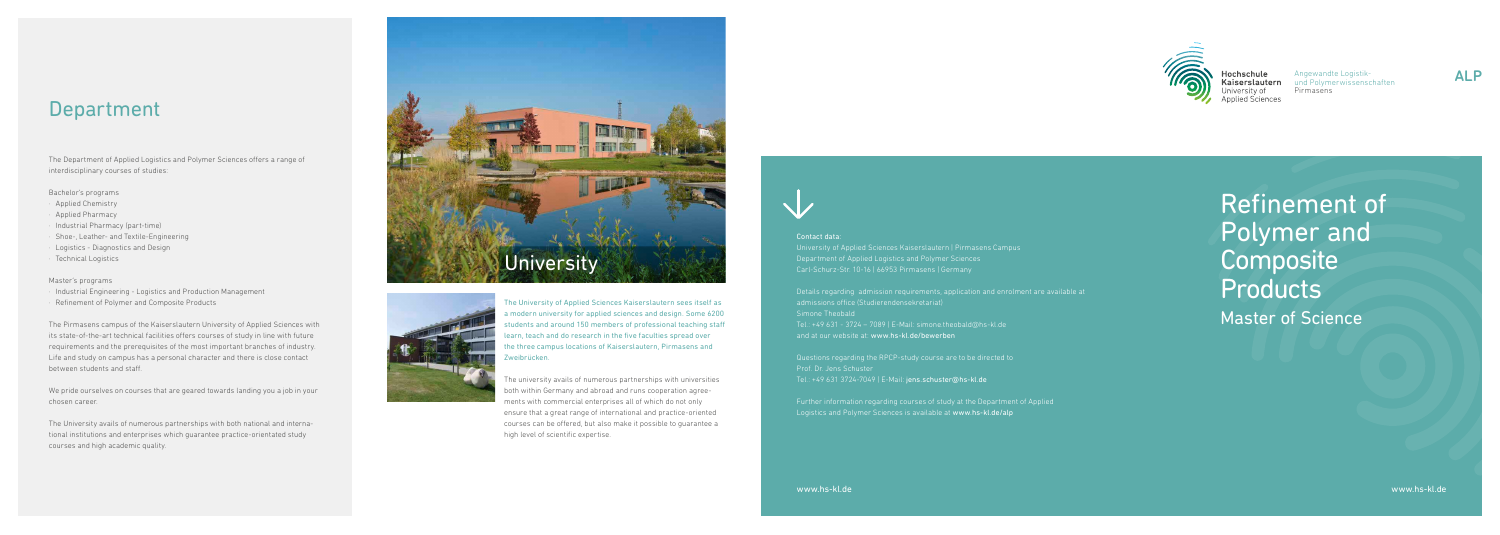

Refinement of Polymer and **Composite Products** Master of Science

### Contact data:

University of Applied Sciences Kaiserslautern | Pirmasens Campus Department of Applied Logistics and Polymer Sciences

Details regarding admission requirements, application and enrolment are available at Simone Theobald Tel.: +49 631 - 3724 – 7089 | E-Mail: simone.theobald@hs-kl.de and at our website at: www.hs-kl.de/bewerben

Questions regarding the RPCP-study course are to be directed to Prof. Dr. Jens Schuster Tel.: +49 631 3724-7049 | E-Mail: jens.schuster@hs-kl.de

Further information regarding courses of study at the Department of Applied Logistics and Polymer Sciences is available at www.hs-kl.de/alp



www.hs-kl.de





Angewandte Logistikund Polymerwissenschaften Pirmasens

### Department

The Department of Applied Logistics and Polymer Sciences offers a range of interdisciplinary courses of studies:

#### Bachelor's programs

- · Applied Chemistry
- Applied Pharmacy
- · Industrial Pharmacy (part-time)
- · Shoe-, Leather- and Textile-Engineering
- · Logistics Diagnostics and Design
- · Technical Logistics

#### Master's programs

- · Industrial Engineering Logistics and Production Management
- · Refinement of Polymer and Composite Products

The Pirmasens campus of the Kaiserslautern University of Applied Sciences with its state-of-the-art technical facilities offers courses of study in line with future requirements and the prerequisites of the most important branches of industry. Life and study on campus has a personal character and there is close contact between students and staff.

We pride ourselves on courses that are geared towards landing you a job in your chosen career.

The University avails of numerous partnerships with both national and international institutions and enterprises which guarantee practice-orientated study courses and high academic quality.

The University of Applied Sciences Kaiserslautern sees itself as a modern university for applied sciences and design. Some 6200 students and around 150 members of professional teaching staff learn, teach and do research in the five faculties spread over the three campus locations of Kaiserslautern, Pirmasens and Zweibrücken.

The university avails of numerous partnerships with universities both within Germany and abroad and runs cooperation agreements with commercial enterprises all of which do not only ensure that a great range of international and practice-oriented courses can be offered, but also make it possible to guarantee a high level of scientific expertise.



Hochschule<br>Kaiserslautern Jniversitv of plied Sciences